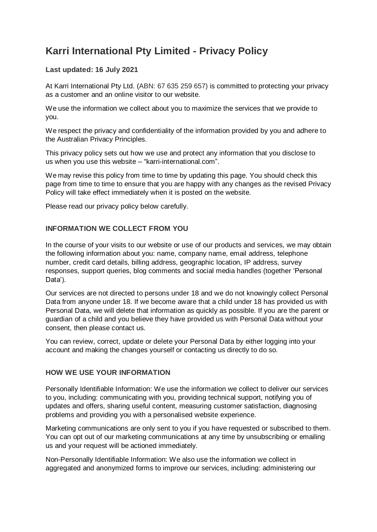# **Karri International Pty Limited - Privacy Policy**

# **Last updated: 16 July 2021**

At Karri International Pty Ltd. (ABN: 67 635 259 657) is committed to protecting your privacy as a customer and an online visitor to our website.

We use the information we collect about you to maximize the services that we provide to you.

We respect the privacy and confidentiality of the information provided by you and adhere to the Australian Privacy Principles.

This privacy policy sets out how we use and protect any information that you disclose to us when you use this website – "karri-international.com".

We may revise this policy from time to time by updating this page. You should check this page from time to time to ensure that you are happy with any changes as the revised Privacy Policy will take effect immediately when it is posted on the website.

Please read our privacy policy below carefully.

### **INFORMATION WE COLLECT FROM YOU**

In the course of your visits to our website or use of our products and services, we may obtain the following information about you: name, company name, email address, telephone number, credit card details, billing address, geographic location, IP address, survey responses, support queries, blog comments and social media handles (together 'Personal Data').

Our services are not directed to persons under 18 and we do not knowingly collect Personal Data from anyone under 18. If we become aware that a child under 18 has provided us with Personal Data, we will delete that information as quickly as possible. If you are the parent or guardian of a child and you believe they have provided us with Personal Data without your consent, then please contact us.

You can review, correct, update or delete your Personal Data by either logging into your account and making the changes yourself or contacting us directly to do so.

### **HOW WE USE YOUR INFORMATION**

Personally Identifiable Information: We use the information we collect to deliver our services to you, including: communicating with you, providing technical support, notifying you of updates and offers, sharing useful content, measuring customer satisfaction, diagnosing problems and providing you with a personalised website experience.

Marketing communications are only sent to you if you have requested or subscribed to them. You can opt out of our marketing communications at any time by unsubscribing or emailing us and your request will be actioned immediately.

Non-Personally Identifiable Information: We also use the information we collect in aggregated and anonymized forms to improve our services, including: administering our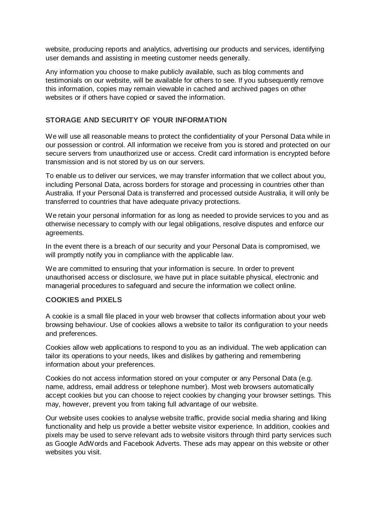website, producing reports and analytics, advertising our products and services, identifying user demands and assisting in meeting customer needs generally.

Any information you choose to make publicly available, such as blog comments and testimonials on our website, will be available for others to see. If you subsequently remove this information, copies may remain viewable in cached and archived pages on other websites or if others have copied or saved the information.

#### **STORAGE AND SECURITY OF YOUR INFORMATION**

We will use all reasonable means to protect the confidentiality of your Personal Data while in our possession or control. All information we receive from you is stored and protected on our secure servers from unauthorized use or access. Credit card information is encrypted before transmission and is not stored by us on our servers.

To enable us to deliver our services, we may transfer information that we collect about you, including Personal Data, across borders for storage and processing in countries other than Australia. If your Personal Data is transferred and processed outside Australia, it will only be transferred to countries that have adequate privacy protections.

We retain your personal information for as long as needed to provide services to you and as otherwise necessary to comply with our legal obligations, resolve disputes and enforce our agreements.

In the event there is a breach of our security and your Personal Data is compromised, we will promptly notify you in compliance with the applicable law.

We are committed to ensuring that your information is secure. In order to prevent unauthorised access or disclosure, we have put in place suitable physical, electronic and managerial procedures to safeguard and secure the information we collect online.

#### **COOKIES and PIXELS**

A cookie is a small file placed in your web browser that collects information about your web browsing behaviour. Use of cookies allows a website to tailor its configuration to your needs and preferences.

Cookies allow web applications to respond to you as an individual. The web application can tailor its operations to your needs, likes and dislikes by gathering and remembering information about your preferences.

Cookies do not access information stored on your computer or any Personal Data (e.g. name, address, email address or telephone number). Most web browsers automatically accept cookies but you can choose to reject cookies by changing your browser settings. This may, however, prevent you from taking full advantage of our website.

Our website uses cookies to analyse website traffic, provide social media sharing and liking functionality and help us provide a better website visitor experience. In addition, cookies and pixels may be used to serve relevant ads to website visitors through third party services such as Google AdWords and Facebook Adverts. These ads may appear on this website or other websites you visit.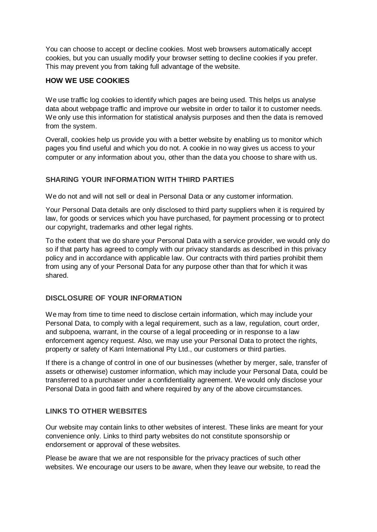You can choose to accept or decline cookies. Most web browsers automatically accept cookies, but you can usually modify your browser setting to decline cookies if you prefer. This may prevent you from taking full advantage of the website.

# **HOW WE USE COOKIES**

We use traffic log cookies to identify which pages are being used. This helps us analyse data about webpage traffic and improve our website in order to tailor it to customer needs. We only use this information for statistical analysis purposes and then the data is removed from the system.

Overall, cookies help us provide you with a better website by enabling us to monitor which pages you find useful and which you do not. A cookie in no way gives us access to your computer or any information about you, other than the data you choose to share with us.

# **SHARING YOUR INFORMATION WITH THIRD PARTIES**

We do not and will not sell or deal in Personal Data or any customer information.

Your Personal Data details are only disclosed to third party suppliers when it is required by law, for goods or services which you have purchased, for payment processing or to protect our copyright, trademarks and other legal rights.

To the extent that we do share your Personal Data with a service provider, we would only do so if that party has agreed to comply with our privacy standards as described in this privacy policy and in accordance with applicable law. Our contracts with third parties prohibit them from using any of your Personal Data for any purpose other than that for which it was shared.

### **DISCLOSURE OF YOUR INFORMATION**

We may from time to time need to disclose certain information, which may include your Personal Data, to comply with a legal requirement, such as a law, regulation, court order, and subpoena, warrant, in the course of a legal proceeding or in response to a law enforcement agency request. Also, we may use your Personal Data to protect the rights, property or safety of Karri International Pty Ltd., our customers or third parties.

If there is a change of control in one of our businesses (whether by merger, sale, transfer of assets or otherwise) customer information, which may include your Personal Data, could be transferred to a purchaser under a confidentiality agreement. We would only disclose your Personal Data in good faith and where required by any of the above circumstances.

### **LINKS TO OTHER WEBSITES**

Our website may contain links to other websites of interest. These links are meant for your convenience only. Links to third party websites do not constitute sponsorship or endorsement or approval of these websites.

Please be aware that we are not responsible for the privacy practices of such other websites. We encourage our users to be aware, when they leave our website, to read the